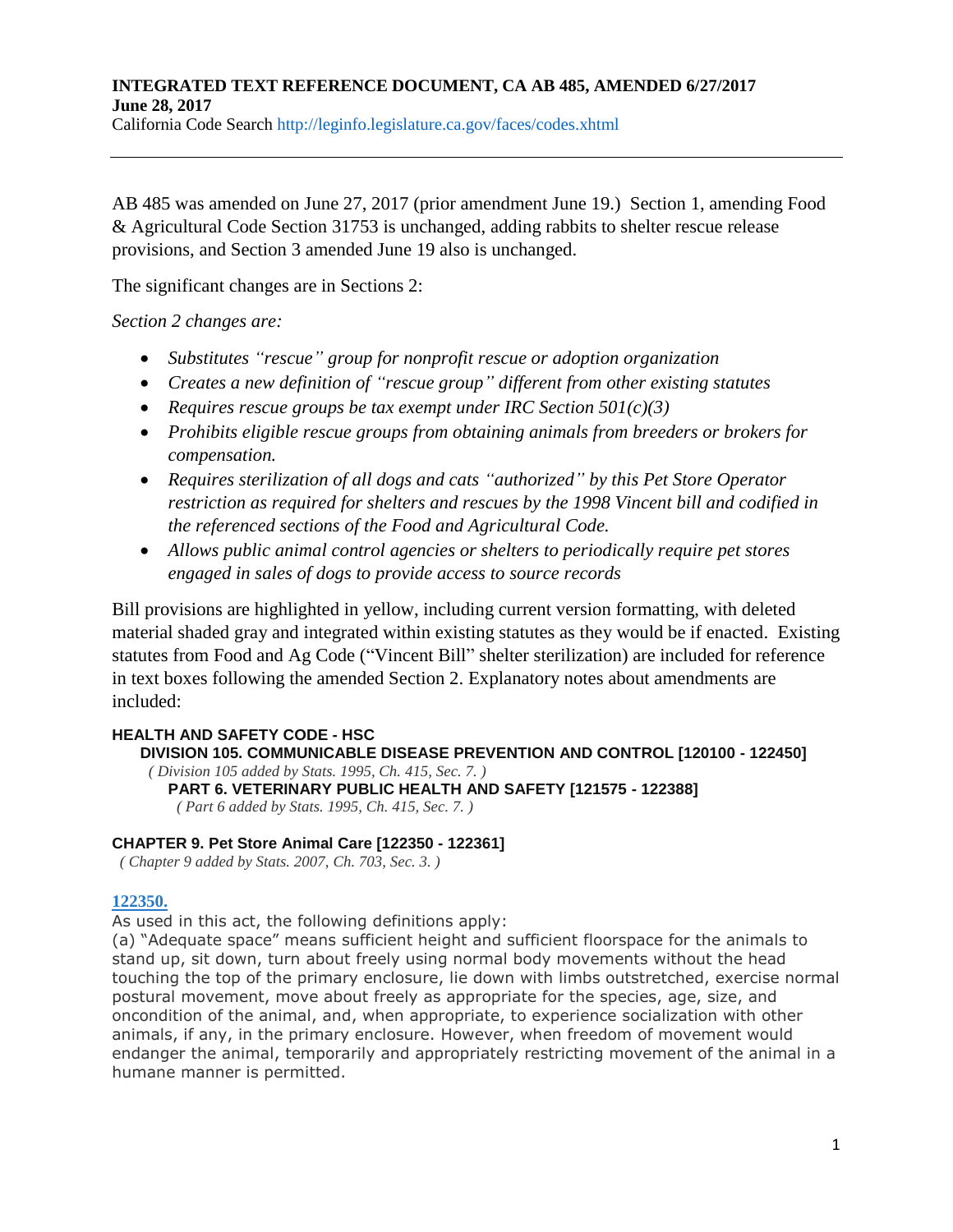California Code Search http://leginfo.legislature.ca.gov/faces/codes.xhtml

AB 485 was amended on June 27, 2017 (prior amendment June 19.) Section 1, amending Food & Agricultural Code Section 31753 is unchanged, adding rabbits to shelter rescue release provisions, and Section 3 amended June 19 also is unchanged.

The significant changes are in Sections 2:

*Section 2 changes are:*

- *Substitutes "rescue" group for nonprofit rescue or adoption organization*
- *Creates a new definition of "rescue group" different from other existing statutes*
- *Requires rescue groups be tax exempt under IRC Section 501(c)(3)*
- *Prohibits eligible rescue groups from obtaining animals from breeders or brokers for compensation.*
- *Requires sterilization of all dogs and cats "authorized" by this Pet Store Operator restriction as required for shelters and rescues by the 1998 Vincent bill and codified in the referenced sections of the Food and Agricultural Code.*
- *Allows public animal control agencies or shelters to periodically require pet stores engaged in sales of dogs to provide access to source records*

Bill provisions are highlighted in yellow, including current version formatting, with deleted material shaded gray and integrated within existing statutes as they would be if enacted. Existing statutes from Food and Ag Code ("Vincent Bill" shelter sterilization) are included for reference in text boxes following the amended Section 2. Explanatory notes about amendments are included:

# **HEALTH AND SAFETY CODE - HSC**

**DIVISION 105. COMMUNICABLE DISEASE PREVENTION AND CONTROL [120100 - 122450]** *( Division 105 added by Stats. 1995, Ch. 415, Sec. 7. )* **PART 6. VETERINARY PUBLIC HEALTH AND SAFETY [121575 - 122388]** *( Part 6 added by Stats. 1995, Ch. 415, Sec. 7. )*

# **CHAPTER 9. Pet Store Animal Care [122350 - 122361]**

*( Chapter 9 added by Stats. 2007, Ch. 703, Sec. 3. )*

# **[122350.](javascript:submitCodesValues()**

As used in this act, the following definitions apply:

(a) "Adequate space" means sufficient height and sufficient floorspace for the animals to stand up, sit down, turn about freely using normal body movements without the head touching the top of the primary enclosure, lie down with limbs outstretched, exercise normal postural movement, move about freely as appropriate for the species, age, size, and oncondition of the animal, and, when appropriate, to experience socialization with other animals, if any, in the primary enclosure. However, when freedom of movement would endanger the animal, temporarily and appropriately restricting movement of the animal in a humane manner is permitted.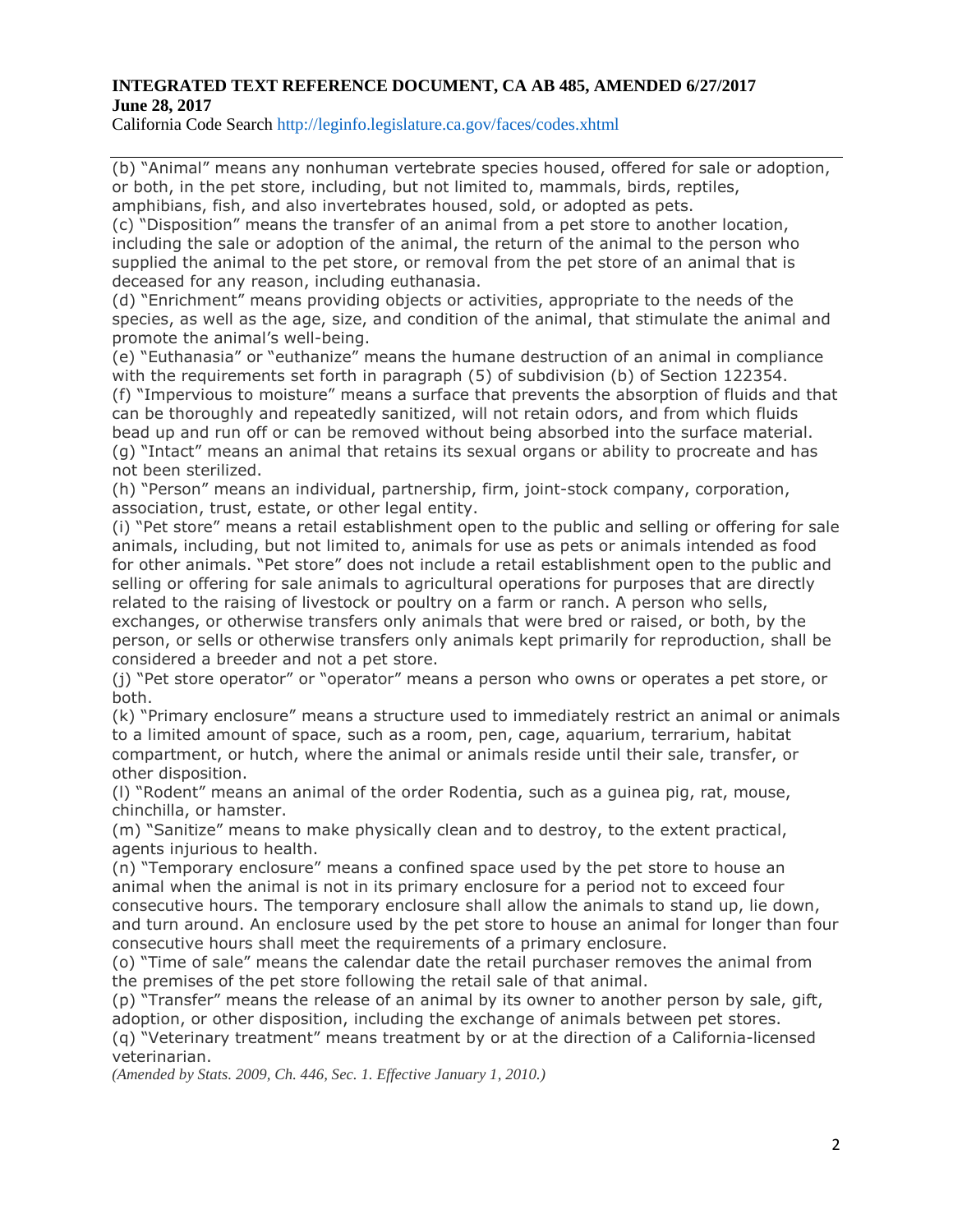California Code Search http://leginfo.legislature.ca.gov/faces/codes.xhtml

(b) "Animal" means any nonhuman vertebrate species housed, offered for sale or adoption, or both, in the pet store, including, but not limited to, mammals, birds, reptiles, amphibians, fish, and also invertebrates housed, sold, or adopted as pets.

(c) "Disposition" means the transfer of an animal from a pet store to another location, including the sale or adoption of the animal, the return of the animal to the person who supplied the animal to the pet store, or removal from the pet store of an animal that is deceased for any reason, including euthanasia.

(d) "Enrichment" means providing objects or activities, appropriate to the needs of the species, as well as the age, size, and condition of the animal, that stimulate the animal and promote the animal's well-being.

(e) "Euthanasia" or "euthanize" means the humane destruction of an animal in compliance with the requirements set forth in paragraph (5) of subdivision (b) of Section 122354.

(f) "Impervious to moisture" means a surface that prevents the absorption of fluids and that can be thoroughly and repeatedly sanitized, will not retain odors, and from which fluids bead up and run off or can be removed without being absorbed into the surface material. (g) "Intact" means an animal that retains its sexual organs or ability to procreate and has not been sterilized.

(h) "Person" means an individual, partnership, firm, joint-stock company, corporation, association, trust, estate, or other legal entity.

(i) "Pet store" means a retail establishment open to the public and selling or offering for sale animals, including, but not limited to, animals for use as pets or animals intended as food for other animals. "Pet store" does not include a retail establishment open to the public and selling or offering for sale animals to agricultural operations for purposes that are directly related to the raising of livestock or poultry on a farm or ranch. A person who sells, exchanges, or otherwise transfers only animals that were bred or raised, or both, by the person, or sells or otherwise transfers only animals kept primarily for reproduction, shall be considered a breeder and not a pet store.

(j) "Pet store operator" or "operator" means a person who owns or operates a pet store, or both.

(k) "Primary enclosure" means a structure used to immediately restrict an animal or animals to a limited amount of space, such as a room, pen, cage, aquarium, terrarium, habitat compartment, or hutch, where the animal or animals reside until their sale, transfer, or other disposition.

(l) "Rodent" means an animal of the order Rodentia, such as a guinea pig, rat, mouse, chinchilla, or hamster.

(m) "Sanitize" means to make physically clean and to destroy, to the extent practical, agents injurious to health.

(n) "Temporary enclosure" means a confined space used by the pet store to house an animal when the animal is not in its primary enclosure for a period not to exceed four consecutive hours. The temporary enclosure shall allow the animals to stand up, lie down, and turn around. An enclosure used by the pet store to house an animal for longer than four consecutive hours shall meet the requirements of a primary enclosure.

(o) "Time of sale" means the calendar date the retail purchaser removes the animal from the premises of the pet store following the retail sale of that animal.

(p) "Transfer" means the release of an animal by its owner to another person by sale, gift, adoption, or other disposition, including the exchange of animals between pet stores.

(q) "Veterinary treatment" means treatment by or at the direction of a California-licensed veterinarian.

*(Amended by Stats. 2009, Ch. 446, Sec. 1. Effective January 1, 2010.)*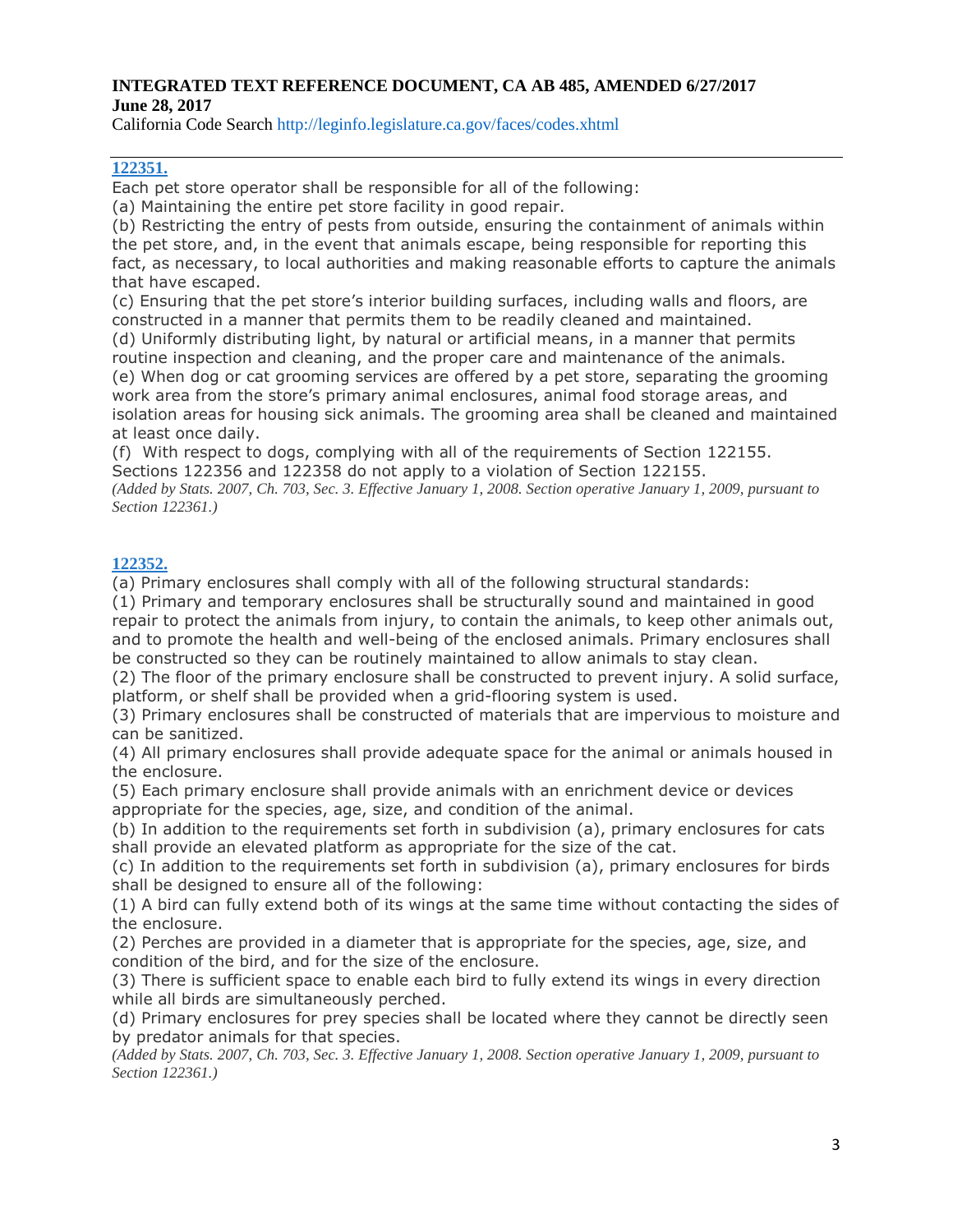California Code Search http://leginfo.legislature.ca.gov/faces/codes.xhtml

# **[122351.](javascript:submitCodesValues()**

Each pet store operator shall be responsible for all of the following:

(a) Maintaining the entire pet store facility in good repair.

(b) Restricting the entry of pests from outside, ensuring the containment of animals within the pet store, and, in the event that animals escape, being responsible for reporting this fact, as necessary, to local authorities and making reasonable efforts to capture the animals that have escaped.

(c) Ensuring that the pet store's interior building surfaces, including walls and floors, are constructed in a manner that permits them to be readily cleaned and maintained.

(d) Uniformly distributing light, by natural or artificial means, in a manner that permits routine inspection and cleaning, and the proper care and maintenance of the animals. (e) When dog or cat grooming services are offered by a pet store, separating the grooming work area from the store's primary animal enclosures, animal food storage areas, and isolation areas for housing sick animals. The grooming area shall be cleaned and maintained at least once daily.

(f) With respect to dogs, complying with all of the requirements of Section 122155. Sections 122356 and 122358 do not apply to a violation of Section 122155.

(Added by Stats. 2007, Ch. 703, Sec. 3. Effective January 1, 2008. Section operative January 1, 2009, pursuant to *Section 122361.)*

# **[122352.](javascript:submitCodesValues()**

(a) Primary enclosures shall comply with all of the following structural standards:

(1) Primary and temporary enclosures shall be structurally sound and maintained in good repair to protect the animals from injury, to contain the animals, to keep other animals out, and to promote the health and well-being of the enclosed animals. Primary enclosures shall be constructed so they can be routinely maintained to allow animals to stay clean.

(2) The floor of the primary enclosure shall be constructed to prevent injury. A solid surface, platform, or shelf shall be provided when a grid-flooring system is used.

(3) Primary enclosures shall be constructed of materials that are impervious to moisture and can be sanitized.

(4) All primary enclosures shall provide adequate space for the animal or animals housed in the enclosure.

(5) Each primary enclosure shall provide animals with an enrichment device or devices appropriate for the species, age, size, and condition of the animal.

(b) In addition to the requirements set forth in subdivision (a), primary enclosures for cats shall provide an elevated platform as appropriate for the size of the cat.

(c) In addition to the requirements set forth in subdivision (a), primary enclosures for birds shall be designed to ensure all of the following:

(1) A bird can fully extend both of its wings at the same time without contacting the sides of the enclosure.

(2) Perches are provided in a diameter that is appropriate for the species, age, size, and condition of the bird, and for the size of the enclosure.

(3) There is sufficient space to enable each bird to fully extend its wings in every direction while all birds are simultaneously perched.

(d) Primary enclosures for prey species shall be located where they cannot be directly seen by predator animals for that species.

(Added by Stats, 2007, Ch. 703, Sec. 3, Effective January 1, 2008, Section operative January 1, 2009, pursuant to *Section 122361.)*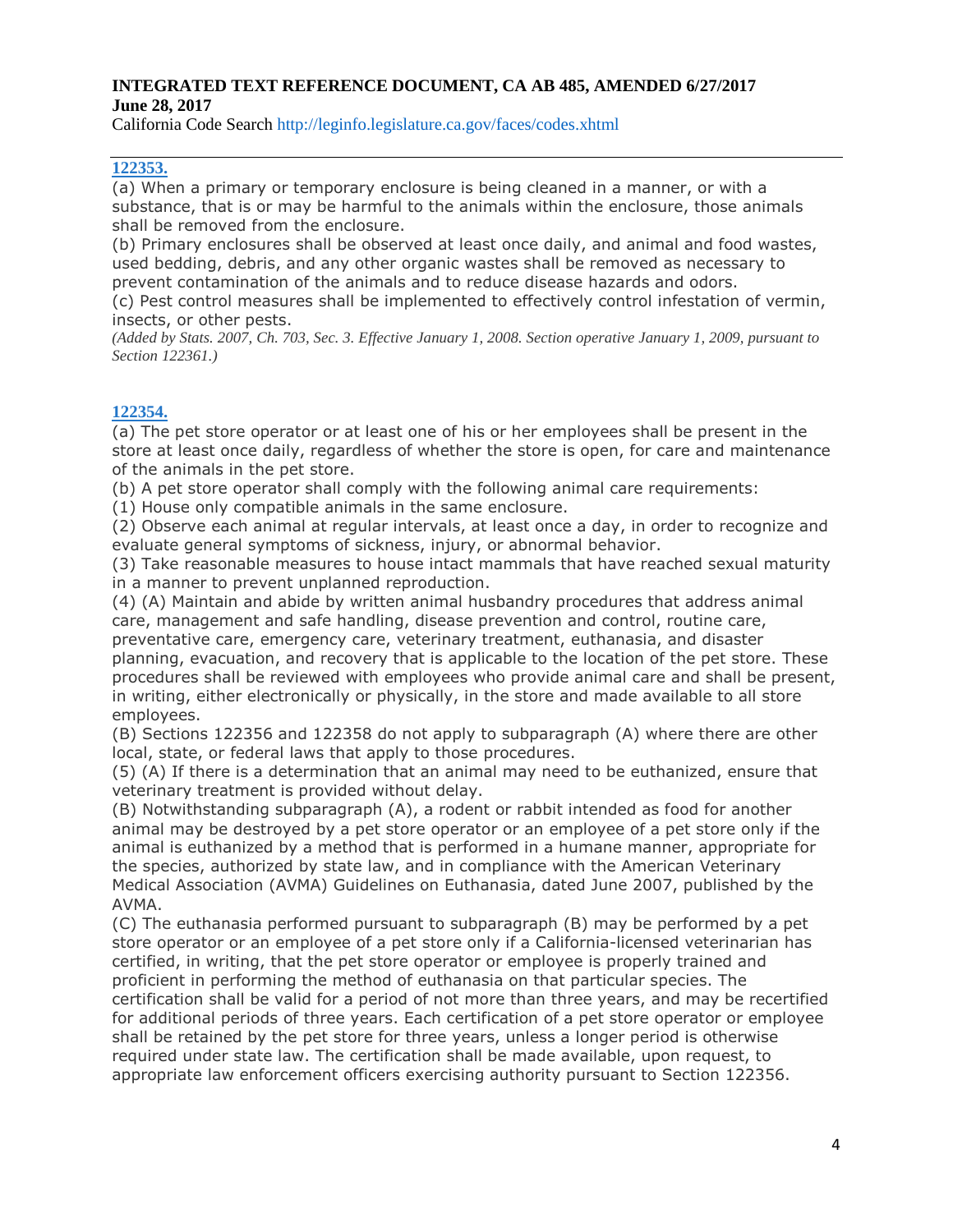California Code Search http://leginfo.legislature.ca.gov/faces/codes.xhtml

### **[122353.](javascript:submitCodesValues()**

(a) When a primary or temporary enclosure is being cleaned in a manner, or with a substance, that is or may be harmful to the animals within the enclosure, those animals shall be removed from the enclosure.

(b) Primary enclosures shall be observed at least once daily, and animal and food wastes, used bedding, debris, and any other organic wastes shall be removed as necessary to prevent contamination of the animals and to reduce disease hazards and odors.

(c) Pest control measures shall be implemented to effectively control infestation of vermin, insects, or other pests.

(Added by Stats. 2007, Ch. 703, Sec. 3. Effective January 1, 2008. Section operative January 1, 2009, pursuant to *Section 122361.)*

#### **[122354.](javascript:submitCodesValues()**

(a) The pet store operator or at least one of his or her employees shall be present in the store at least once daily, regardless of whether the store is open, for care and maintenance of the animals in the pet store.

(b) A pet store operator shall comply with the following animal care requirements:

(1) House only compatible animals in the same enclosure.

(2) Observe each animal at regular intervals, at least once a day, in order to recognize and evaluate general symptoms of sickness, injury, or abnormal behavior.

(3) Take reasonable measures to house intact mammals that have reached sexual maturity in a manner to prevent unplanned reproduction.

(4) (A) Maintain and abide by written animal husbandry procedures that address animal care, management and safe handling, disease prevention and control, routine care, preventative care, emergency care, veterinary treatment, euthanasia, and disaster planning, evacuation, and recovery that is applicable to the location of the pet store. These procedures shall be reviewed with employees who provide animal care and shall be present, in writing, either electronically or physically, in the store and made available to all store employees.

(B) Sections 122356 and 122358 do not apply to subparagraph (A) where there are other local, state, or federal laws that apply to those procedures.

(5) (A) If there is a determination that an animal may need to be euthanized, ensure that veterinary treatment is provided without delay.

(B) Notwithstanding subparagraph (A), a rodent or rabbit intended as food for another animal may be destroyed by a pet store operator or an employee of a pet store only if the animal is euthanized by a method that is performed in a humane manner, appropriate for the species, authorized by state law, and in compliance with the American Veterinary Medical Association (AVMA) Guidelines on Euthanasia, dated June 2007, published by the AVMA.

(C) The euthanasia performed pursuant to subparagraph (B) may be performed by a pet store operator or an employee of a pet store only if a California-licensed veterinarian has certified, in writing, that the pet store operator or employee is properly trained and proficient in performing the method of euthanasia on that particular species. The certification shall be valid for a period of not more than three years, and may be recertified for additional periods of three years. Each certification of a pet store operator or employee shall be retained by the pet store for three years, unless a longer period is otherwise required under state law. The certification shall be made available, upon request, to

appropriate law enforcement officers exercising authority pursuant to Section 122356.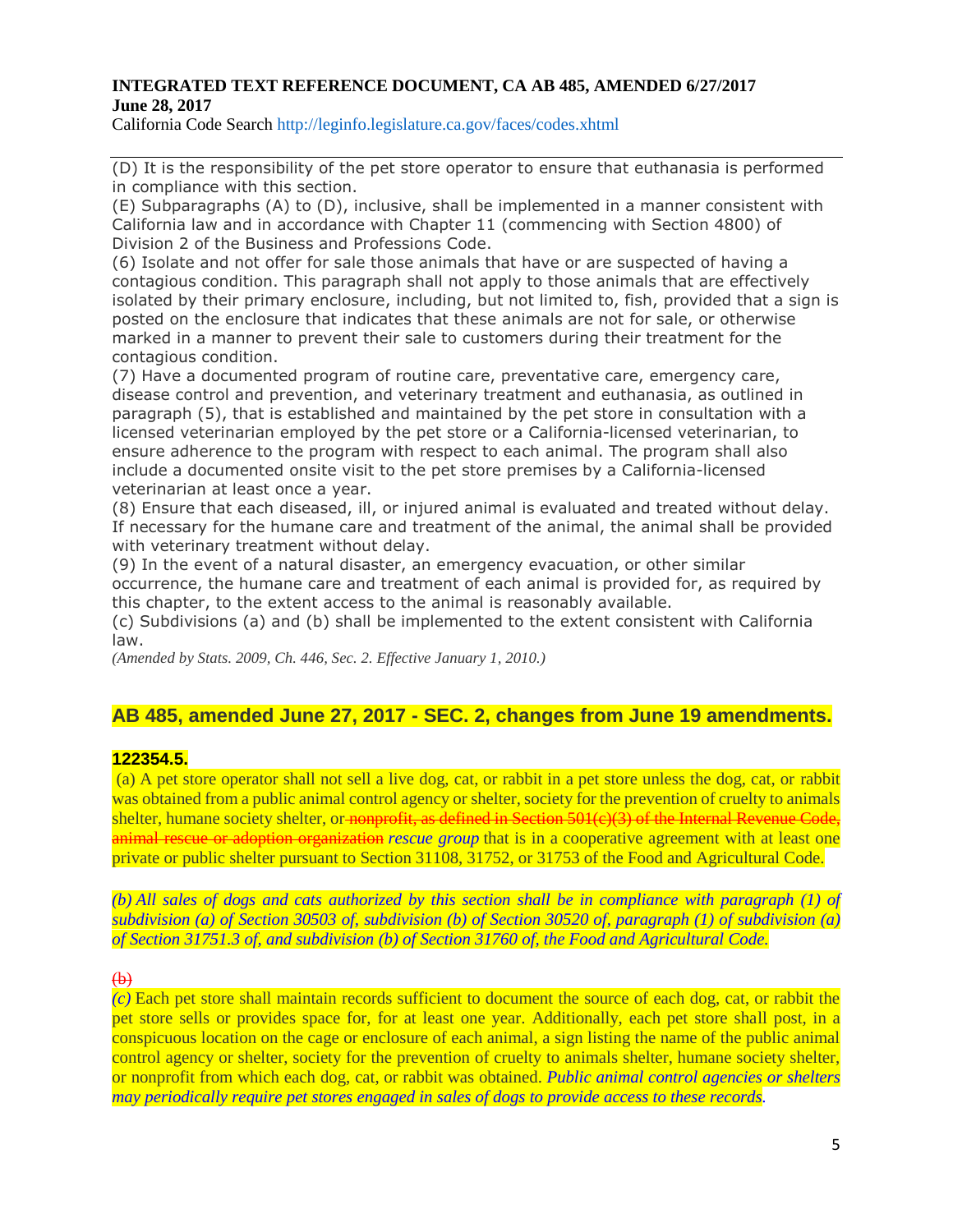California Code Search http://leginfo.legislature.ca.gov/faces/codes.xhtml

(D) It is the responsibility of the pet store operator to ensure that euthanasia is performed in compliance with this section.

(E) Subparagraphs (A) to (D), inclusive, shall be implemented in a manner consistent with California law and in accordance with Chapter 11 (commencing with Section 4800) of Division 2 of the Business and Professions Code.

(6) Isolate and not offer for sale those animals that have or are suspected of having a contagious condition. This paragraph shall not apply to those animals that are effectively isolated by their primary enclosure, including, but not limited to, fish, provided that a sign is posted on the enclosure that indicates that these animals are not for sale, or otherwise marked in a manner to prevent their sale to customers during their treatment for the contagious condition.

(7) Have a documented program of routine care, preventative care, emergency care, disease control and prevention, and veterinary treatment and euthanasia, as outlined in paragraph (5), that is established and maintained by the pet store in consultation with a licensed veterinarian employed by the pet store or a California-licensed veterinarian, to ensure adherence to the program with respect to each animal. The program shall also include a documented onsite visit to the pet store premises by a California-licensed veterinarian at least once a year.

(8) Ensure that each diseased, ill, or injured animal is evaluated and treated without delay. If necessary for the humane care and treatment of the animal, the animal shall be provided with veterinary treatment without delay.

(9) In the event of a natural disaster, an emergency evacuation, or other similar occurrence, the humane care and treatment of each animal is provided for, as required by this chapter, to the extent access to the animal is reasonably available.

(c) Subdivisions (a) and (b) shall be implemented to the extent consistent with California law.

*(Amended by Stats. 2009, Ch. 446, Sec. 2. Effective January 1, 2010.)*

# **AB 485, amended June 27, 2017 - SEC. 2, changes from June 19 amendments.**

#### **122354.5.**

(a) A pet store operator shall not sell a live dog, cat, or rabbit in a pet store unless the dog, cat, or rabbit was obtained from a public animal control agency or shelter, society for the prevention of cruelty to animals shelter, humane society shelter, or nonprofit, as defined in Section 501(c)(3) of the Internal Revenue Code, animal rescue or adoption organization *rescue group* that is in a cooperative agreement with at least one private or public shelter pursuant to Section 31108, 31752, or 31753 of the Food and Agricultural Code.

(b) All sales of dogs and cats authorized by this section shall be in compliance with paragraph (1) of subdivision (a) of Section 30503 of, subdivision (b) of Section 30520 of, paragraph (1) of subdivision (a) *of Section 31751.3 of, and subdivision (b) of Section 31760 of, the Food and Agricultural Code.*

#### $\bigoplus$

*(c)* Each pet store shall maintain records sufficient to document the source of each dog, cat, or rabbit the pet store sells or provides space for, for at least one year. Additionally, each pet store shall post, in a conspicuous location on the cage or enclosure of each animal, a sign listing the name of the public animal control agency or shelter, society for the prevention of cruelty to animals shelter, humane society shelter, or nonprofit from which each dog, cat, or rabbit was obtained. *Public animal control agencies or shelters may periodically require pet stores engaged in sales of dogs to provide access to these records.*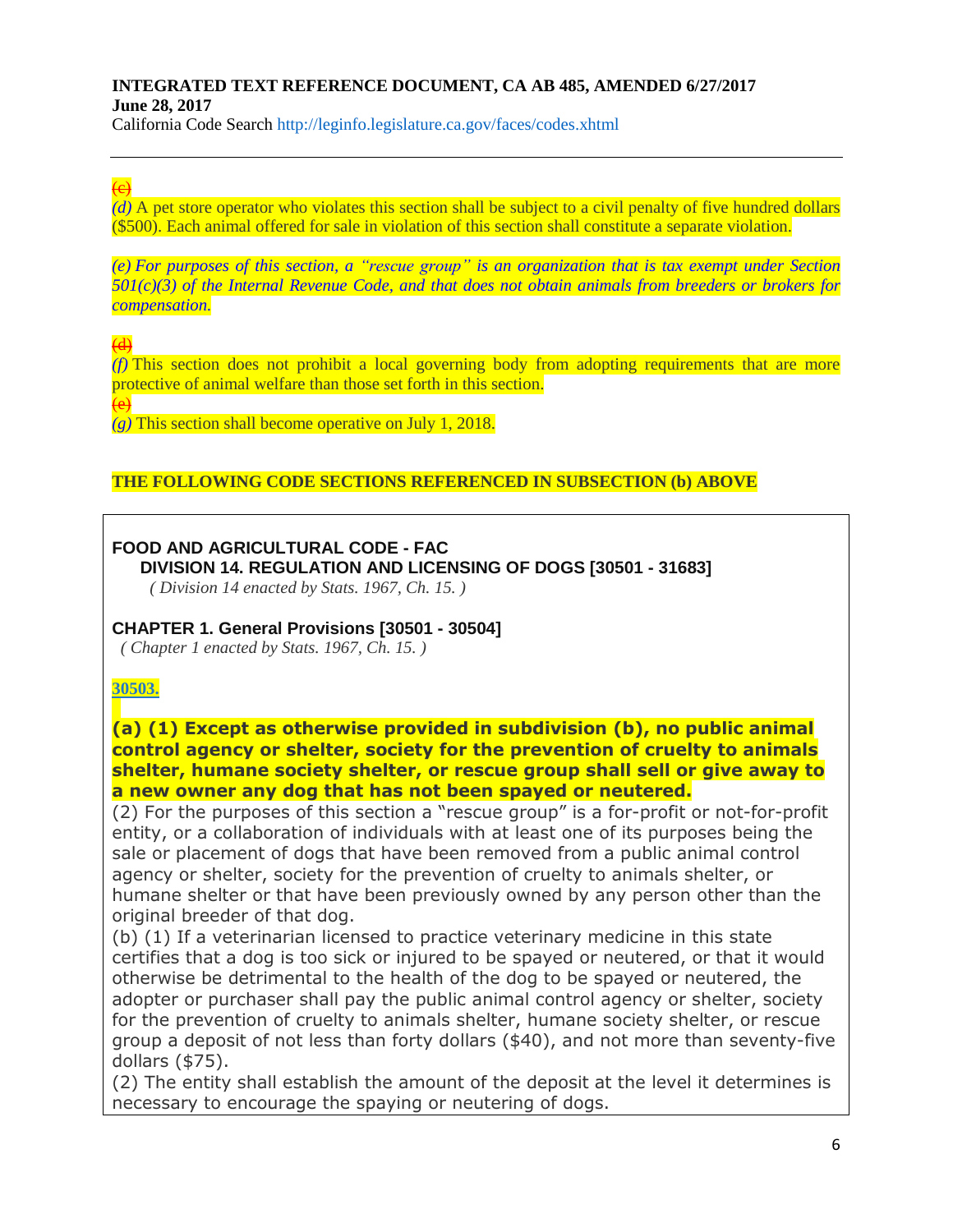California Code Search http://leginfo.legislature.ca.gov/faces/codes.xhtml

# $\overline{e}$

*(d)* A pet store operator who violates this section shall be subject to a civil penalty of five hundred dollars (\$500). Each animal offered for sale in violation of this section shall constitute a separate violation.

(e) For purposes of this section, a "rescue group" is an organization that is tax exempt under Section *501(c)(3) of the Internal Revenue Code, and that does not obtain animals from breeders or brokers for compensation.*

 $\overline{4}$ 

*(f)* This section does not prohibit a local governing body from adopting requirements that are more protective of animal welfare than those set forth in this section.

(e)

*(g)* This section shall become operative on July 1, 2018.

# **THE FOLLOWING CODE SECTIONS REFERENCED IN SUBSECTION (b) ABOVE**

# **FOOD AND AGRICULTURAL CODE - FAC**

**DIVISION 14. REGULATION AND LICENSING OF DOGS [30501 - 31683]**

*( Division 14 enacted by Stats. 1967, Ch. 15. )*

# **CHAPTER 1. General Provisions [30501 - 30504]**

*( Chapter 1 enacted by Stats. 1967, Ch. 15. )*

# **[30503.](javascript:submitCodesValues()**

**(a) (1) Except as otherwise provided in subdivision (b), no public animal control agency or shelter, society for the prevention of cruelty to animals shelter, humane society shelter, or rescue group shall sell or give away to a new owner any dog that has not been spayed or neutered.**

(2) For the purposes of this section a "rescue group" is a for-profit or not-for-profit entity, or a collaboration of individuals with at least one of its purposes being the sale or placement of dogs that have been removed from a public animal control agency or shelter, society for the prevention of cruelty to animals shelter, or humane shelter or that have been previously owned by any person other than the original breeder of that dog.

(b) (1) If a veterinarian licensed to practice veterinary medicine in this state certifies that a dog is too sick or injured to be spayed or neutered, or that it would otherwise be detrimental to the health of the dog to be spayed or neutered, the adopter or purchaser shall pay the public animal control agency or shelter, society for the prevention of cruelty to animals shelter, humane society shelter, or rescue group a deposit of not less than forty dollars (\$40), and not more than seventy-five dollars (\$75).

(2) The entity shall establish the amount of the deposit at the level it determines is necessary to encourage the spaying or neutering of dogs.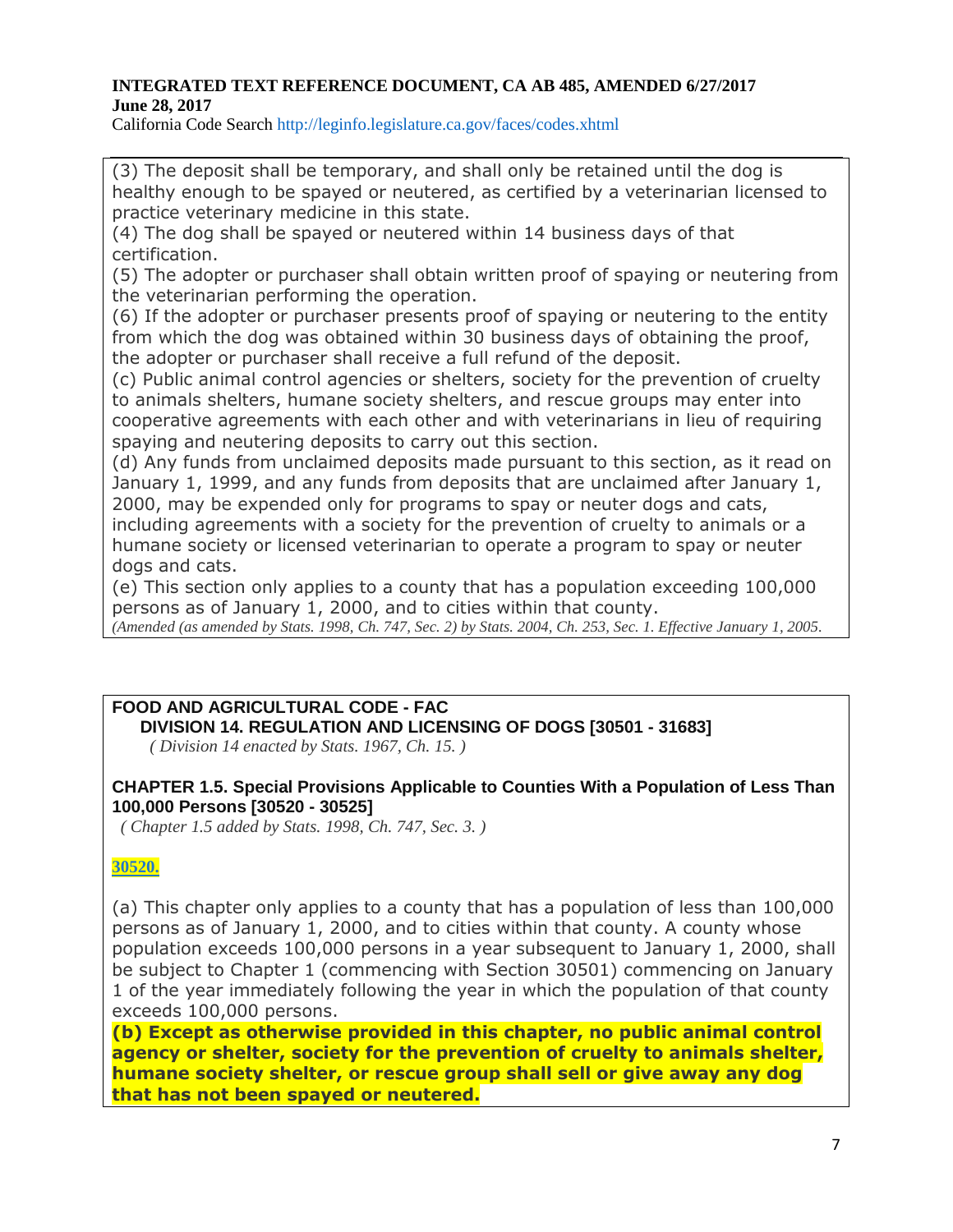California Code Search http://leginfo.legislature.ca.gov/faces/codes.xhtml

(3) The deposit shall be temporary, and shall only be retained until the dog is healthy enough to be spayed or neutered, as certified by a veterinarian licensed to practice veterinary medicine in this state.

(4) The dog shall be spayed or neutered within 14 business days of that certification.

(5) The adopter or purchaser shall obtain written proof of spaying or neutering from the veterinarian performing the operation.

(6) If the adopter or purchaser presents proof of spaying or neutering to the entity from which the dog was obtained within 30 business days of obtaining the proof, the adopter or purchaser shall receive a full refund of the deposit.

(c) Public animal control agencies or shelters, society for the prevention of cruelty to animals shelters, humane society shelters, and rescue groups may enter into cooperative agreements with each other and with veterinarians in lieu of requiring spaying and neutering deposits to carry out this section.

(d) Any funds from unclaimed deposits made pursuant to this section, as it read on January 1, 1999, and any funds from deposits that are unclaimed after January 1, 2000, may be expended only for programs to spay or neuter dogs and cats,

including agreements with a society for the prevention of cruelty to animals or a humane society or licensed veterinarian to operate a program to spay or neuter dogs and cats.

(e) This section only applies to a county that has a population exceeding 100,000 persons as of January 1, 2000, and to cities within that county.

(Amended (as amended by Stats. 1998, Ch. 747, Sec. 2) by Stats. 2004, Ch. 253, Sec. 1. Effective January 1, 2005.

# **FOOD AND AGRICULTURAL CODE - FAC DIVISION 14. REGULATION AND LICENSING OF DOGS [30501 - 31683]**

*( Division 14 enacted by Stats. 1967, Ch. 15. )*

# **CHAPTER 1.5. Special Provisions Applicable to Counties With a Population of Less Than 100,000 Persons [30520 - 30525]**

*( Chapter 1.5 added by Stats. 1998, Ch. 747, Sec. 3. )*

# **[30520.](javascript:submitCodesValues()**

(a) This chapter only applies to a county that has a population of less than 100,000 persons as of January 1, 2000, and to cities within that county. A county whose population exceeds 100,000 persons in a year subsequent to January 1, 2000, shall be subject to Chapter 1 (commencing with Section 30501) commencing on January 1 of the year immediately following the year in which the population of that county exceeds 100,000 persons.

**(b) Except as otherwise provided in this chapter, no public animal control agency or shelter, society for the prevention of cruelty to animals shelter, humane society shelter, or rescue group shall sell or give away any dog that has not been spayed or neutered.**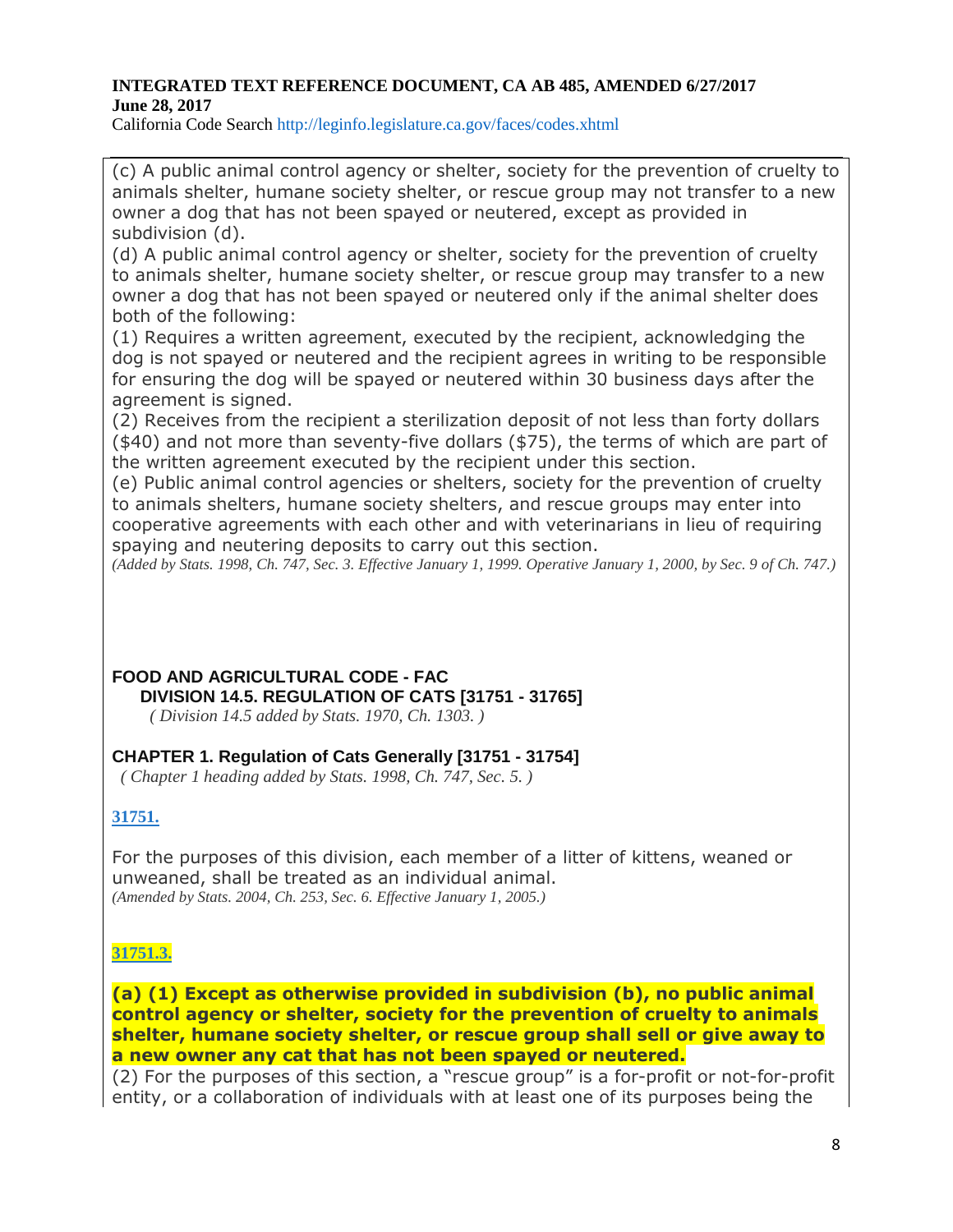California Code Search http://leginfo.legislature.ca.gov/faces/codes.xhtml

(c) A public animal control agency or shelter, society for the prevention of cruelty to animals shelter, humane society shelter, or rescue group may not transfer to a new owner a dog that has not been spayed or neutered, except as provided in subdivision (d).

(d) A public animal control agency or shelter, society for the prevention of cruelty to animals shelter, humane society shelter, or rescue group may transfer to a new owner a dog that has not been spayed or neutered only if the animal shelter does both of the following:

(1) Requires a written agreement, executed by the recipient, acknowledging the dog is not spayed or neutered and the recipient agrees in writing to be responsible for ensuring the dog will be spayed or neutered within 30 business days after the agreement is signed.

(2) Receives from the recipient a sterilization deposit of not less than forty dollars (\$40) and not more than seventy-five dollars (\$75), the terms of which are part of the written agreement executed by the recipient under this section.

(e) Public animal control agencies or shelters, society for the prevention of cruelty to animals shelters, humane society shelters, and rescue groups may enter into cooperative agreements with each other and with veterinarians in lieu of requiring spaying and neutering deposits to carry out this section.

(Added by Stats. 1998, Ch. 747, Sec. 3. Effective January 1, 1999. Operative January 1, 2000, by Sec. 9 of Ch. 747.)

**FOOD AND AGRICULTURAL CODE - FAC DIVISION 14.5. REGULATION OF CATS [31751 - 31765]**

*( Division 14.5 added by Stats. 1970, Ch. 1303. )*

# **CHAPTER 1. Regulation of Cats Generally [31751 - 31754]**

*( Chapter 1 heading added by Stats. 1998, Ch. 747, Sec. 5. )*

# **[31751.](javascript:submitCodesValues()**

For the purposes of this division, each member of a litter of kittens, weaned or unweaned, shall be treated as an individual animal. *(Amended by Stats. 2004, Ch. 253, Sec. 6. Effective January 1, 2005.)*

# **[31751.3.](javascript:submitCodesValues()**

**(a) (1) Except as otherwise provided in subdivision (b), no public animal control agency or shelter, society for the prevention of cruelty to animals shelter, humane society shelter, or rescue group shall sell or give away to a new owner any cat that has not been spayed or neutered.**

(2) For the purposes of this section, a "rescue group" is a for-profit or not-for-profit entity, or a collaboration of individuals with at least one of its purposes being the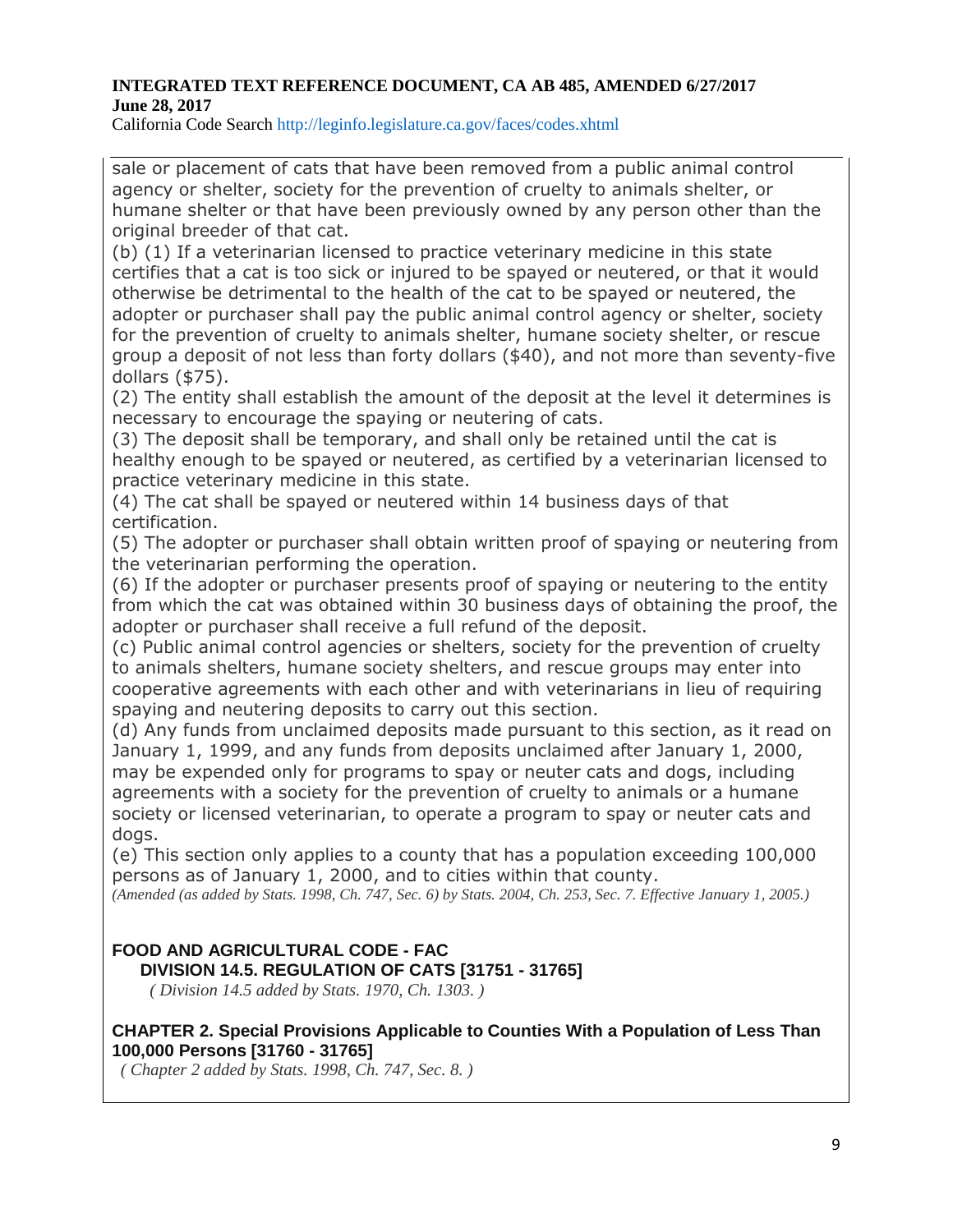California Code Search http://leginfo.legislature.ca.gov/faces/codes.xhtml

sale or placement of cats that have been removed from a public animal control agency or shelter, society for the prevention of cruelty to animals shelter, or humane shelter or that have been previously owned by any person other than the original breeder of that cat.

(b) (1) If a veterinarian licensed to practice veterinary medicine in this state certifies that a cat is too sick or injured to be spayed or neutered, or that it would otherwise be detrimental to the health of the cat to be spayed or neutered, the adopter or purchaser shall pay the public animal control agency or shelter, society for the prevention of cruelty to animals shelter, humane society shelter, or rescue group a deposit of not less than forty dollars (\$40), and not more than seventy-five dollars (\$75).

(2) The entity shall establish the amount of the deposit at the level it determines is necessary to encourage the spaying or neutering of cats.

(3) The deposit shall be temporary, and shall only be retained until the cat is healthy enough to be spayed or neutered, as certified by a veterinarian licensed to practice veterinary medicine in this state.

(4) The cat shall be spayed or neutered within 14 business days of that certification.

(5) The adopter or purchaser shall obtain written proof of spaying or neutering from the veterinarian performing the operation.

(6) If the adopter or purchaser presents proof of spaying or neutering to the entity from which the cat was obtained within 30 business days of obtaining the proof, the adopter or purchaser shall receive a full refund of the deposit.

(c) Public animal control agencies or shelters, society for the prevention of cruelty to animals shelters, humane society shelters, and rescue groups may enter into cooperative agreements with each other and with veterinarians in lieu of requiring spaying and neutering deposits to carry out this section.

(d) Any funds from unclaimed deposits made pursuant to this section, as it read on January 1, 1999, and any funds from deposits unclaimed after January 1, 2000, may be expended only for programs to spay or neuter cats and dogs, including agreements with a society for the prevention of cruelty to animals or a humane society or licensed veterinarian, to operate a program to spay or neuter cats and dogs.

(e) This section only applies to a county that has a population exceeding 100,000 persons as of January 1, 2000, and to cities within that county.

(Amended (as added by Stats. 1998, Ch. 747, Sec. 6) by Stats. 2004, Ch. 253, Sec. 7. Effective January 1, 2005.)

# **FOOD AND AGRICULTURAL CODE - FAC DIVISION 14.5. REGULATION OF CATS [31751 - 31765]**

*( Division 14.5 added by Stats. 1970, Ch. 1303. )*

# **CHAPTER 2. Special Provisions Applicable to Counties With a Population of Less Than 100,000 Persons [31760 - 31765]**

*( Chapter 2 added by Stats. 1998, Ch. 747, Sec. 8. )*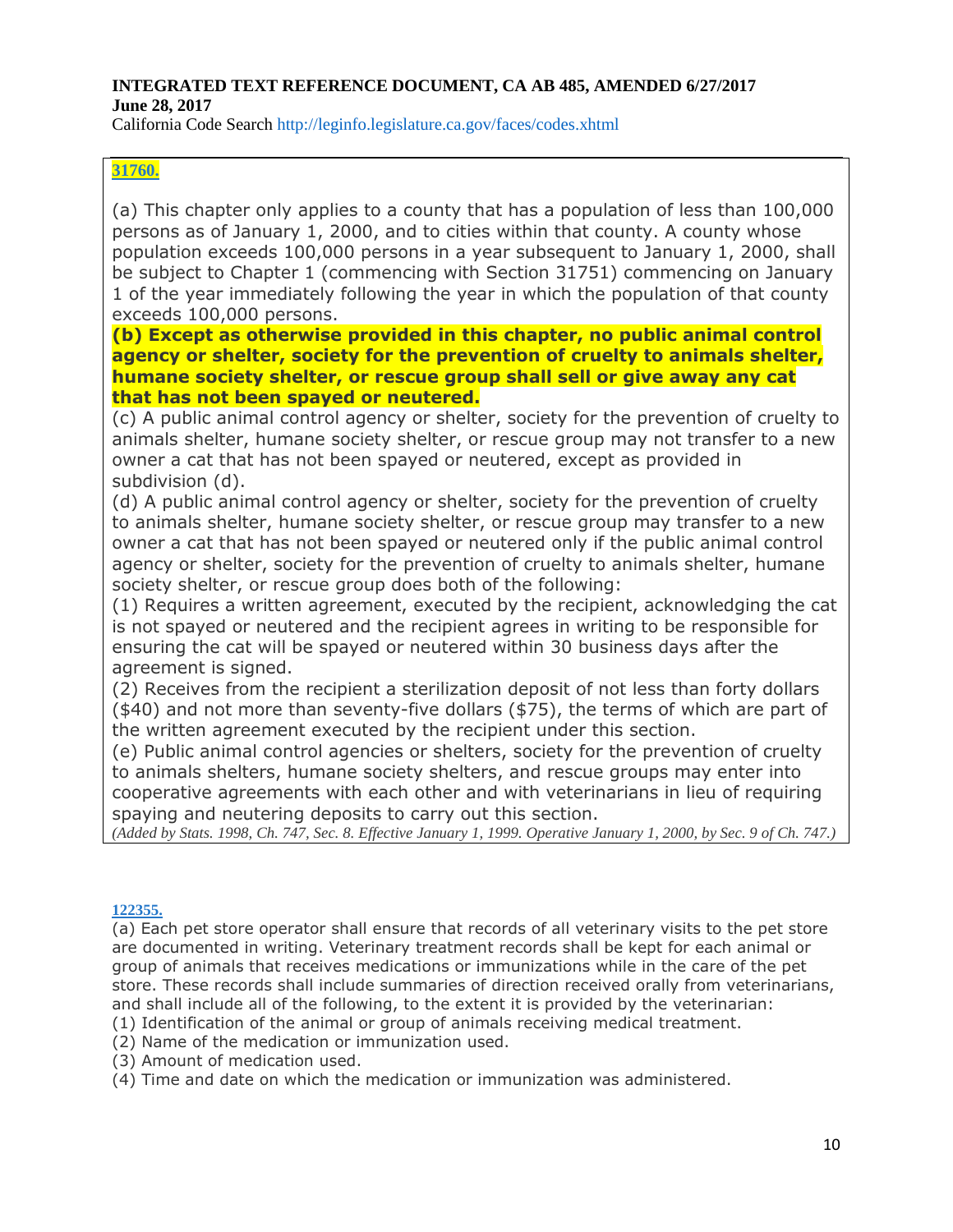California Code Search http://leginfo.legislature.ca.gov/faces/codes.xhtml

# **[31760.](javascript:submitCodesValues()**

(a) This chapter only applies to a county that has a population of less than 100,000 persons as of January 1, 2000, and to cities within that county. A county whose population exceeds 100,000 persons in a year subsequent to January 1, 2000, shall be subject to Chapter 1 (commencing with Section 31751) commencing on January 1 of the year immediately following the year in which the population of that county exceeds 100,000 persons.

# **(b) Except as otherwise provided in this chapter, no public animal control agency or shelter, society for the prevention of cruelty to animals shelter, humane society shelter, or rescue group shall sell or give away any cat that has not been spayed or neutered.**

(c) A public animal control agency or shelter, society for the prevention of cruelty to animals shelter, humane society shelter, or rescue group may not transfer to a new owner a cat that has not been spayed or neutered, except as provided in subdivision (d).

(d) A public animal control agency or shelter, society for the prevention of cruelty to animals shelter, humane society shelter, or rescue group may transfer to a new owner a cat that has not been spayed or neutered only if the public animal control agency or shelter, society for the prevention of cruelty to animals shelter, humane society shelter, or rescue group does both of the following:

(1) Requires a written agreement, executed by the recipient, acknowledging the cat is not spayed or neutered and the recipient agrees in writing to be responsible for ensuring the cat will be spayed or neutered within 30 business days after the agreement is signed.

(2) Receives from the recipient a sterilization deposit of not less than forty dollars (\$40) and not more than seventy-five dollars (\$75), the terms of which are part of the written agreement executed by the recipient under this section.

(e) Public animal control agencies or shelters, society for the prevention of cruelty to animals shelters, humane society shelters, and rescue groups may enter into cooperative agreements with each other and with veterinarians in lieu of requiring spaying and neutering deposits to carry out this section.

(Added by Stats. 1998, Ch. 747, Sec. 8. Effective January 1, 1999. Operative January 1, 2000, by Sec. 9 of Ch. 747.)

#### **[122355.](javascript:submitCodesValues()**

(a) Each pet store operator shall ensure that records of all veterinary visits to the pet store are documented in writing. Veterinary treatment records shall be kept for each animal or group of animals that receives medications or immunizations while in the care of the pet store. These records shall include summaries of direction received orally from veterinarians, and shall include all of the following, to the extent it is provided by the veterinarian:

(1) Identification of the animal or group of animals receiving medical treatment.

- (2) Name of the medication or immunization used.
- (3) Amount of medication used.
- (4) Time and date on which the medication or immunization was administered.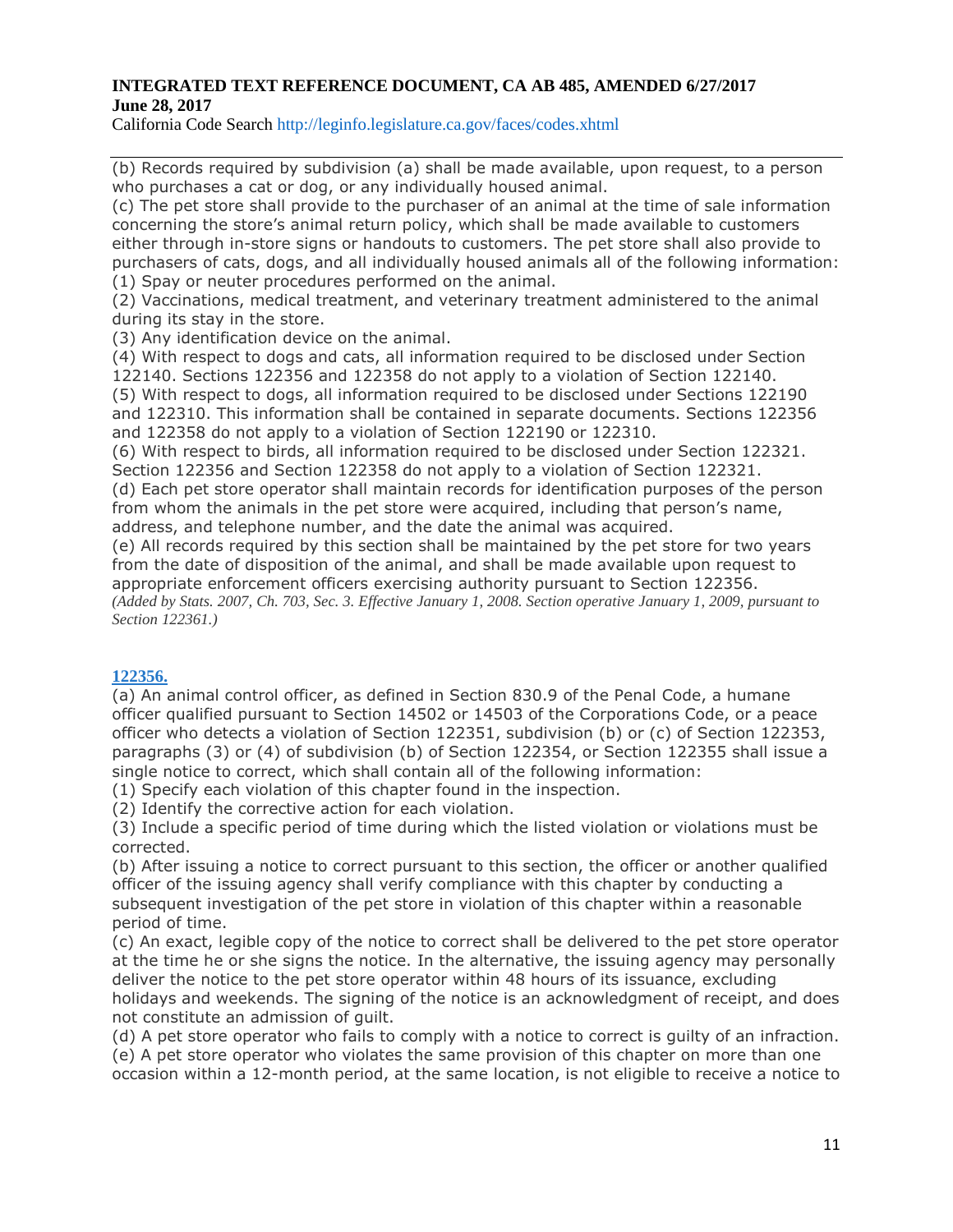California Code Search http://leginfo.legislature.ca.gov/faces/codes.xhtml

(b) Records required by subdivision (a) shall be made available, upon request, to a person who purchases a cat or dog, or any individually housed animal.

(c) The pet store shall provide to the purchaser of an animal at the time of sale information concerning the store's animal return policy, which shall be made available to customers either through in-store signs or handouts to customers. The pet store shall also provide to purchasers of cats, dogs, and all individually housed animals all of the following information: (1) Spay or neuter procedures performed on the animal.

(2) Vaccinations, medical treatment, and veterinary treatment administered to the animal during its stay in the store.

(3) Any identification device on the animal.

(4) With respect to dogs and cats, all information required to be disclosed under Section 122140. Sections 122356 and 122358 do not apply to a violation of Section 122140. (5) With respect to dogs, all information required to be disclosed under Sections 122190 and 122310. This information shall be contained in separate documents. Sections 122356 and 122358 do not apply to a violation of Section 122190 or 122310.

(6) With respect to birds, all information required to be disclosed under Section 122321. Section 122356 and Section 122358 do not apply to a violation of Section 122321.

(d) Each pet store operator shall maintain records for identification purposes of the person from whom the animals in the pet store were acquired, including that person's name, address, and telephone number, and the date the animal was acquired.

(e) All records required by this section shall be maintained by the pet store for two years from the date of disposition of the animal, and shall be made available upon request to appropriate enforcement officers exercising authority pursuant to Section 122356. (Added by Stats. 2007, Ch. 703, Sec. 3. Effective January 1, 2008. Section operative January 1, 2009, pursuant to *Section 122361.)*

# **[122356.](javascript:submitCodesValues()**

(a) An animal control officer, as defined in Section 830.9 of the Penal Code, a humane officer qualified pursuant to Section 14502 or 14503 of the Corporations Code, or a peace officer who detects a violation of Section 122351, subdivision (b) or (c) of Section 122353, paragraphs (3) or (4) of subdivision (b) of Section 122354, or Section 122355 shall issue a single notice to correct, which shall contain all of the following information:

(1) Specify each violation of this chapter found in the inspection.

(2) Identify the corrective action for each violation.

(3) Include a specific period of time during which the listed violation or violations must be corrected.

(b) After issuing a notice to correct pursuant to this section, the officer or another qualified officer of the issuing agency shall verify compliance with this chapter by conducting a subsequent investigation of the pet store in violation of this chapter within a reasonable period of time.

(c) An exact, legible copy of the notice to correct shall be delivered to the pet store operator at the time he or she signs the notice. In the alternative, the issuing agency may personally deliver the notice to the pet store operator within 48 hours of its issuance, excluding holidays and weekends. The signing of the notice is an acknowledgment of receipt, and does not constitute an admission of guilt.

(d) A pet store operator who fails to comply with a notice to correct is guilty of an infraction. (e) A pet store operator who violates the same provision of this chapter on more than one occasion within a 12-month period, at the same location, is not eligible to receive a notice to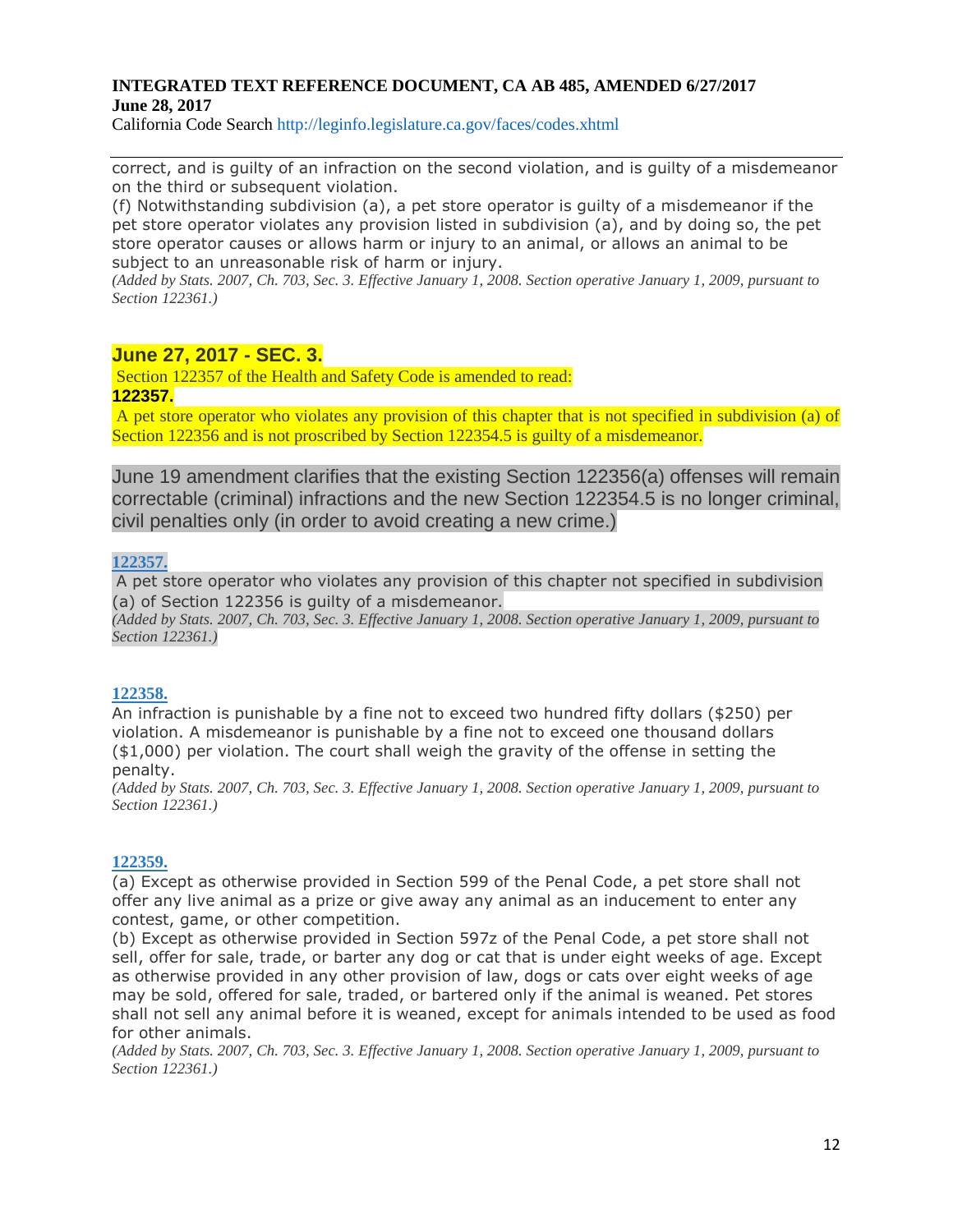California Code Search http://leginfo.legislature.ca.gov/faces/codes.xhtml

correct, and is guilty of an infraction on the second violation, and is guilty of a misdemeanor on the third or subsequent violation.

(f) Notwithstanding subdivision (a), a pet store operator is guilty of a misdemeanor if the pet store operator violates any provision listed in subdivision (a), and by doing so, the pet store operator causes or allows harm or injury to an animal, or allows an animal to be subject to an unreasonable risk of harm or injury.

(Added by Stats. 2007, Ch. 703, Sec. 3. Effective January 1, 2008. Section operative January 1, 2009, pursuant to *Section 122361.)*

# **June 27, 2017 - SEC. 3.**

Section 122357 of the Health and Safety Code is amended to read: **122357.**

A pet store operator who violates any provision of this chapter that is not specified in subdivision (a) of Section 122356 and is not proscribed by Section 122354.5 is guilty of a misdemeanor.

June 19 amendment clarifies that the existing Section 122356(a) offenses will remain correctable (criminal) infractions and the new Section 122354.5 is no longer criminal, civil penalties only (in order to avoid creating a new crime.)

#### **[122357.](javascript:submitCodesValues()**

A pet store operator who violates any provision of this chapter not specified in subdivision (a) of Section 122356 is guilty of a misdemeanor.

(Added by Stats. 2007, Ch. 703, Sec. 3. Effective January 1, 2008. Section operative January 1, 2009, pursuant to *Section 122361.)*

#### **[122358.](javascript:submitCodesValues()**

An infraction is punishable by a fine not to exceed two hundred fifty dollars (\$250) per violation. A misdemeanor is punishable by a fine not to exceed one thousand dollars (\$1,000) per violation. The court shall weigh the gravity of the offense in setting the penalty.

(Added by Stats. 2007, Ch. 703, Sec. 3. Effective January 1, 2008. Section operative January 1, 2009, pursuant to *Section 122361.)*

#### **[122359.](javascript:submitCodesValues()**

(a) Except as otherwise provided in Section 599 of the Penal Code, a pet store shall not offer any live animal as a prize or give away any animal as an inducement to enter any contest, game, or other competition.

(b) Except as otherwise provided in Section 597z of the Penal Code, a pet store shall not sell, offer for sale, trade, or barter any dog or cat that is under eight weeks of age. Except as otherwise provided in any other provision of law, dogs or cats over eight weeks of age may be sold, offered for sale, traded, or bartered only if the animal is weaned. Pet stores shall not sell any animal before it is weaned, except for animals intended to be used as food for other animals.

(Added by Stats. 2007, Ch. 703, Sec. 3. Effective January 1, 2008. Section operative January 1, 2009, pursuant to *Section 122361.)*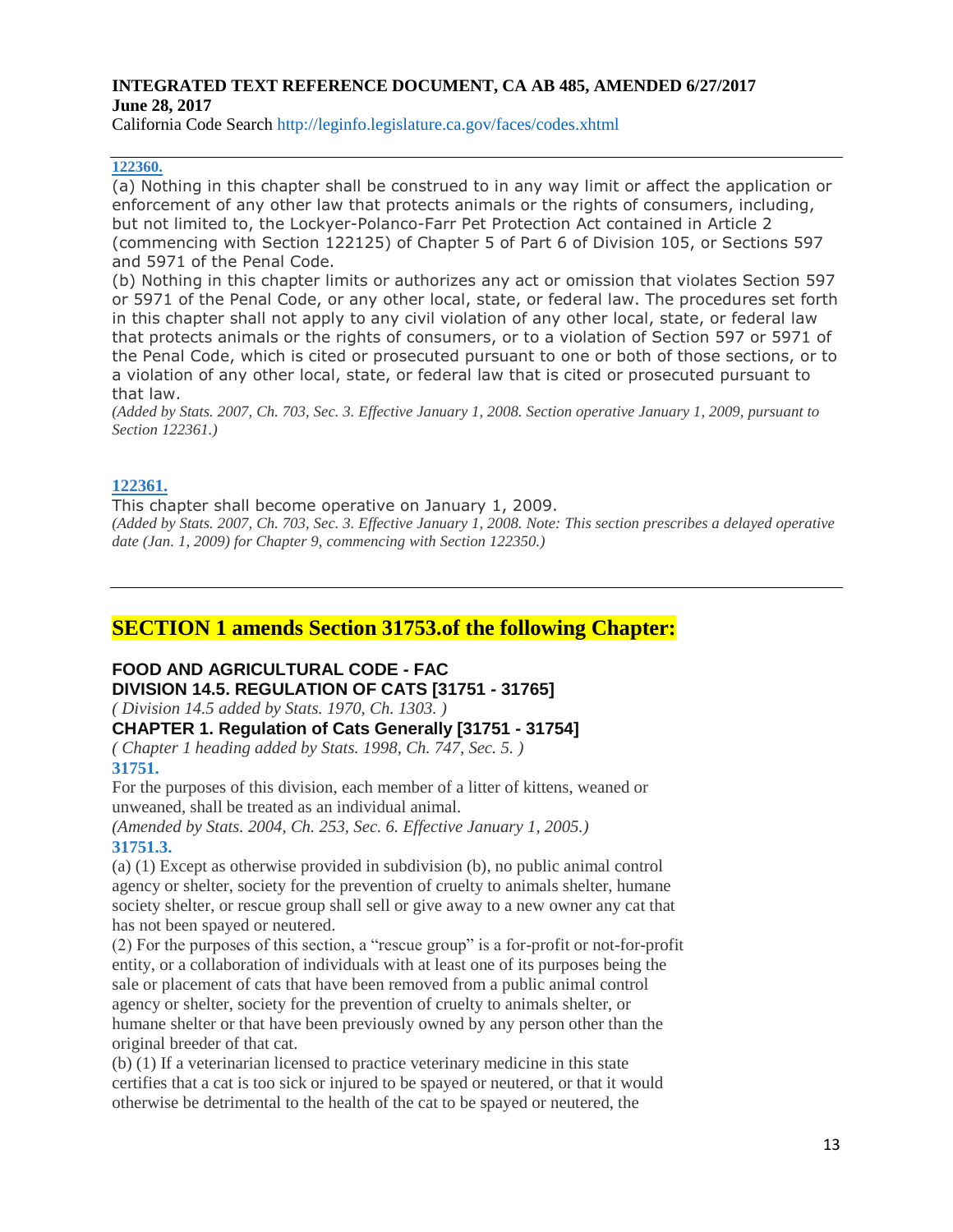California Code Search http://leginfo.legislature.ca.gov/faces/codes.xhtml

#### **[122360.](javascript:submitCodesValues()**

(a) Nothing in this chapter shall be construed to in any way limit or affect the application or enforcement of any other law that protects animals or the rights of consumers, including, but not limited to, the Lockyer-Polanco-Farr Pet Protection Act contained in Article 2 (commencing with Section 122125) of Chapter 5 of Part 6 of Division 105, or Sections 597 and 5971 of the Penal Code.

(b) Nothing in this chapter limits or authorizes any act or omission that violates Section 597 or 5971 of the Penal Code, or any other local, state, or federal law. The procedures set forth in this chapter shall not apply to any civil violation of any other local, state, or federal law that protects animals or the rights of consumers, or to a violation of Section 597 or 5971 of the Penal Code, which is cited or prosecuted pursuant to one or both of those sections, or to a violation of any other local, state, or federal law that is cited or prosecuted pursuant to that law.

(Added by Stats. 2007, Ch. 703, Sec. 3. Effective January 1, 2008. Section operative January 1, 2009, pursuant to *Section 122361.)*

#### **[122361.](javascript:submitCodesValues()**

This chapter shall become operative on January 1, 2009. (Added by Stats. 2007, Ch. 703, Sec. 3. Effective January 1, 2008. Note: This section prescribes a delayed operative *date (Jan. 1, 2009) for Chapter 9, commencing with Section 122350.)*

# **SECTION 1 amends Section 31753.of the following Chapter:**

# **FOOD AND AGRICULTURAL CODE - FAC DIVISION 14.5. REGULATION OF CATS [31751 - 31765]**

*( Division 14.5 added by Stats. 1970, Ch. 1303. )*

### **CHAPTER 1. Regulation of Cats Generally [31751 - 31754]**

*( Chapter 1 heading added by Stats. 1998, Ch. 747, Sec. 5. )* **31751.**

For the purposes of this division, each member of a litter of kittens, weaned or unweaned, shall be treated as an individual animal.

*(Amended by Stats. 2004, Ch. 253, Sec. 6. Effective January 1, 2005.)* **31751.3.**

(a) (1) Except as otherwise provided in subdivision (b), no public animal control agency or shelter, society for the prevention of cruelty to animals shelter, humane society shelter, or rescue group shall sell or give away to a new owner any cat that has not been spayed or neutered.

(2) For the purposes of this section, a "rescue group" is a for-profit or not-for-profit entity, or a collaboration of individuals with at least one of its purposes being the sale or placement of cats that have been removed from a public animal control agency or shelter, society for the prevention of cruelty to animals shelter, or humane shelter or that have been previously owned by any person other than the original breeder of that cat.

(b) (1) If a veterinarian licensed to practice veterinary medicine in this state certifies that a cat is too sick or injured to be spayed or neutered, or that it would otherwise be detrimental to the health of the cat to be spayed or neutered, the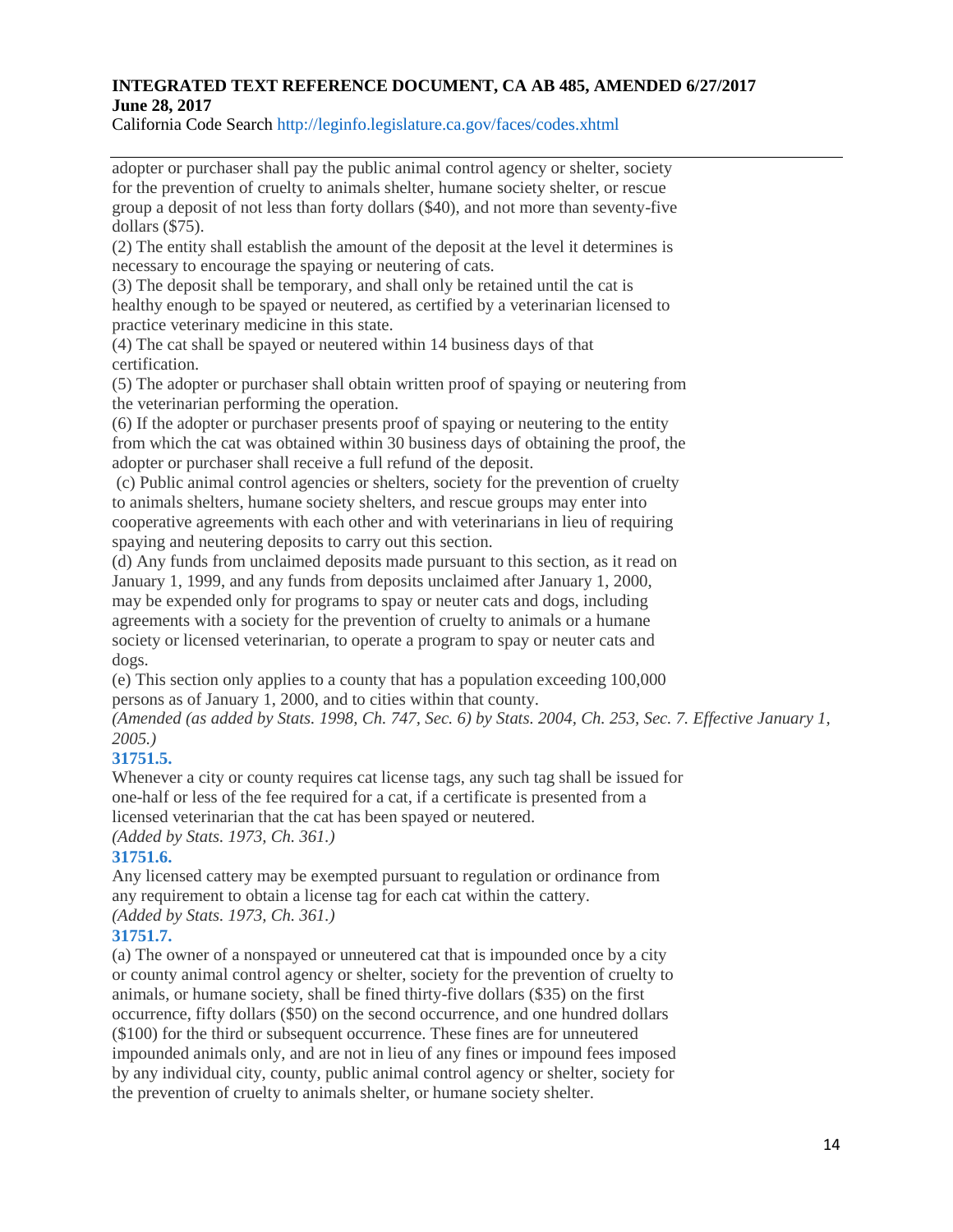California Code Search http://leginfo.legislature.ca.gov/faces/codes.xhtml

adopter or purchaser shall pay the public animal control agency or shelter, society for the prevention of cruelty to animals shelter, humane society shelter, or rescue group a deposit of not less than forty dollars (\$40), and not more than seventy-five dollars (\$75).

(2) The entity shall establish the amount of the deposit at the level it determines is necessary to encourage the spaying or neutering of cats.

(3) The deposit shall be temporary, and shall only be retained until the cat is healthy enough to be spayed or neutered, as certified by a veterinarian licensed to practice veterinary medicine in this state.

(4) The cat shall be spayed or neutered within 14 business days of that certification.

(5) The adopter or purchaser shall obtain written proof of spaying or neutering from the veterinarian performing the operation.

(6) If the adopter or purchaser presents proof of spaying or neutering to the entity from which the cat was obtained within 30 business days of obtaining the proof, the adopter or purchaser shall receive a full refund of the deposit.

(c) Public animal control agencies or shelters, society for the prevention of cruelty to animals shelters, humane society shelters, and rescue groups may enter into cooperative agreements with each other and with veterinarians in lieu of requiring spaying and neutering deposits to carry out this section.

(d) Any funds from unclaimed deposits made pursuant to this section, as it read on January 1, 1999, and any funds from deposits unclaimed after January 1, 2000, may be expended only for programs to spay or neuter cats and dogs, including agreements with a society for the prevention of cruelty to animals or a humane society or licensed veterinarian, to operate a program to spay or neuter cats and dogs.

(e) This section only applies to a county that has a population exceeding 100,000 persons as of January 1, 2000, and to cities within that county.

*(Amended (as added by Stats. 1998, Ch. 747, Sec. 6) by Stats. 2004, Ch. 253, Sec. 7. Effective January 1, 2005.)*

# **31751.5.**

Whenever a city or county requires cat license tags, any such tag shall be issued for one-half or less of the fee required for a cat, if a certificate is presented from a licensed veterinarian that the cat has been spayed or neutered. *(Added by Stats. 1973, Ch. 361.)*

# **31751.6.**

Any licensed cattery may be exempted pursuant to regulation or ordinance from any requirement to obtain a license tag for each cat within the cattery. *(Added by Stats. 1973, Ch. 361.)*

# **31751.7.**

(a) The owner of a nonspayed or unneutered cat that is impounded once by a city or county animal control agency or shelter, society for the prevention of cruelty to animals, or humane society, shall be fined thirty-five dollars (\$35) on the first occurrence, fifty dollars (\$50) on the second occurrence, and one hundred dollars (\$100) for the third or subsequent occurrence. These fines are for unneutered impounded animals only, and are not in lieu of any fines or impound fees imposed by any individual city, county, public animal control agency or shelter, society for the prevention of cruelty to animals shelter, or humane society shelter.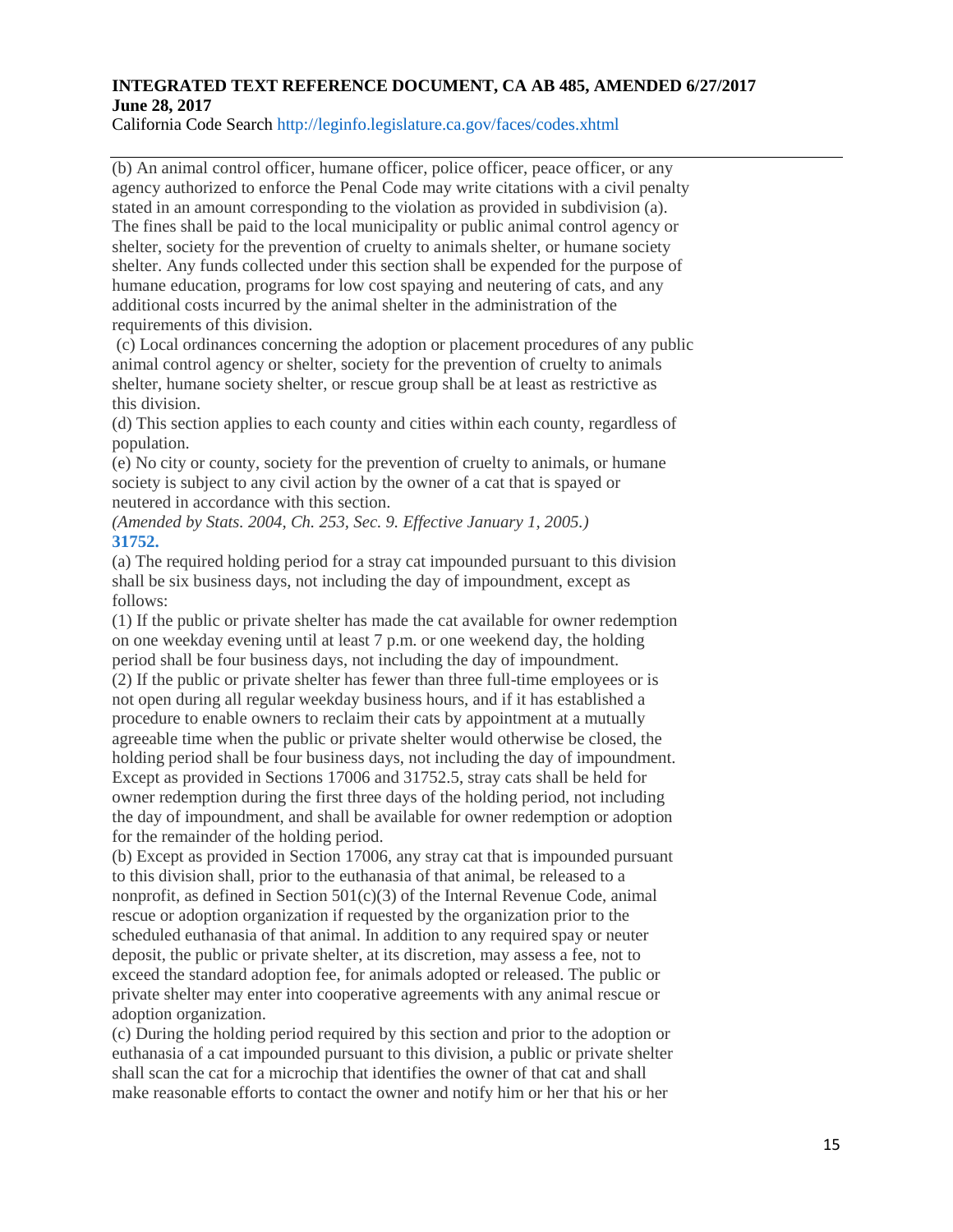California Code Search http://leginfo.legislature.ca.gov/faces/codes.xhtml

(b) An animal control officer, humane officer, police officer, peace officer, or any agency authorized to enforce the Penal Code may write citations with a civil penalty stated in an amount corresponding to the violation as provided in subdivision (a). The fines shall be paid to the local municipality or public animal control agency or shelter, society for the prevention of cruelty to animals shelter, or humane society shelter. Any funds collected under this section shall be expended for the purpose of humane education, programs for low cost spaying and neutering of cats, and any additional costs incurred by the animal shelter in the administration of the requirements of this division.

(c) Local ordinances concerning the adoption or placement procedures of any public animal control agency or shelter, society for the prevention of cruelty to animals shelter, humane society shelter, or rescue group shall be at least as restrictive as this division.

(d) This section applies to each county and cities within each county, regardless of population.

(e) No city or county, society for the prevention of cruelty to animals, or humane society is subject to any civil action by the owner of a cat that is spayed or neutered in accordance with this section.

*(Amended by Stats. 2004, Ch. 253, Sec. 9. Effective January 1, 2005.)* **31752.**

(a) The required holding period for a stray cat impounded pursuant to this division shall be six business days, not including the day of impoundment, except as follows:

(1) If the public or private shelter has made the cat available for owner redemption on one weekday evening until at least 7 p.m. or one weekend day, the holding period shall be four business days, not including the day of impoundment. (2) If the public or private shelter has fewer than three full-time employees or is not open during all regular weekday business hours, and if it has established a procedure to enable owners to reclaim their cats by appointment at a mutually agreeable time when the public or private shelter would otherwise be closed, the holding period shall be four business days, not including the day of impoundment. Except as provided in Sections 17006 and 31752.5, stray cats shall be held for owner redemption during the first three days of the holding period, not including the day of impoundment, and shall be available for owner redemption or adoption for the remainder of the holding period.

(b) Except as provided in Section 17006, any stray cat that is impounded pursuant to this division shall, prior to the euthanasia of that animal, be released to a nonprofit, as defined in Section 501(c)(3) of the Internal Revenue Code, animal rescue or adoption organization if requested by the organization prior to the scheduled euthanasia of that animal. In addition to any required spay or neuter deposit, the public or private shelter, at its discretion, may assess a fee, not to exceed the standard adoption fee, for animals adopted or released. The public or private shelter may enter into cooperative agreements with any animal rescue or adoption organization.

(c) During the holding period required by this section and prior to the adoption or euthanasia of a cat impounded pursuant to this division, a public or private shelter shall scan the cat for a microchip that identifies the owner of that cat and shall make reasonable efforts to contact the owner and notify him or her that his or her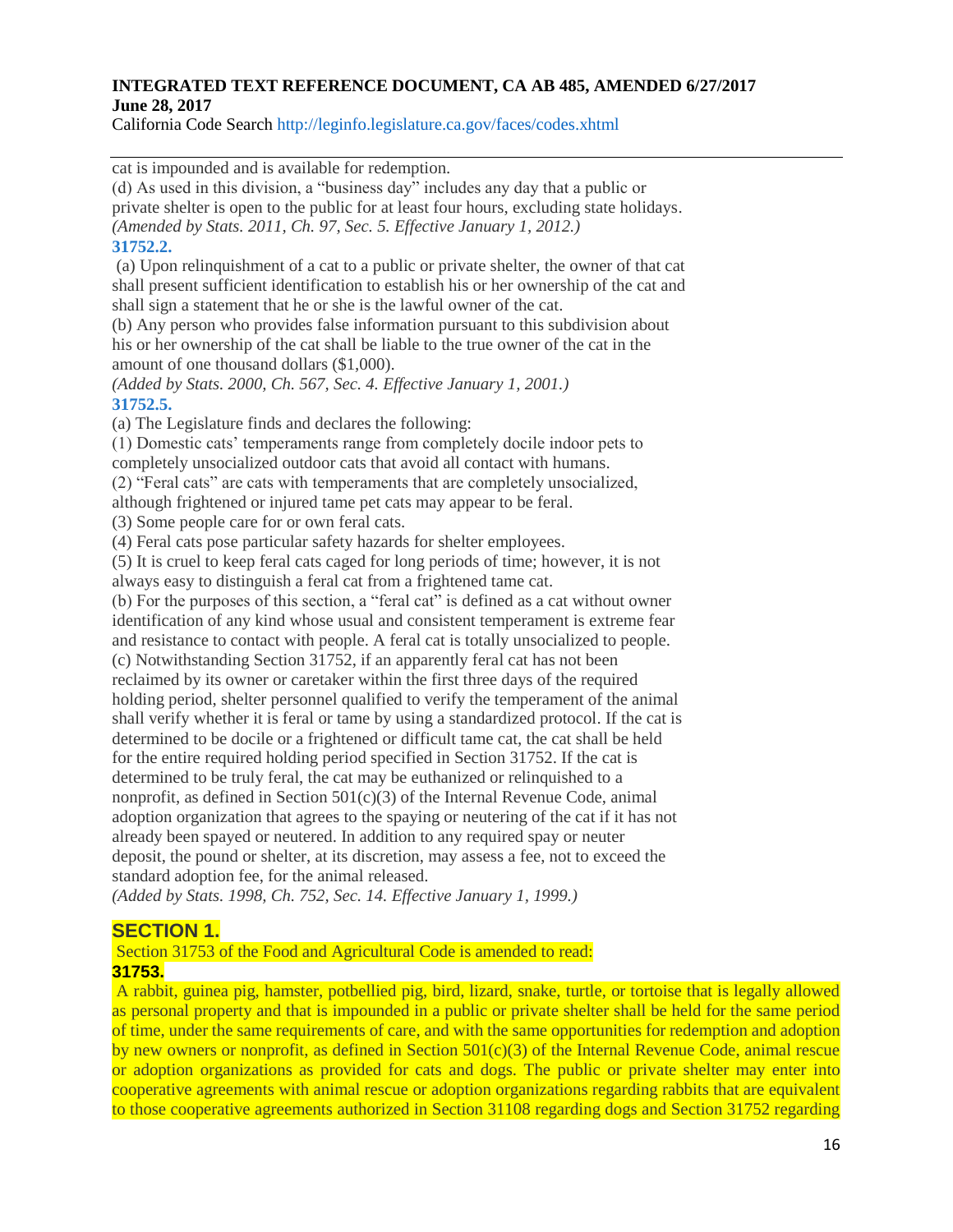California Code Search http://leginfo.legislature.ca.gov/faces/codes.xhtml

cat is impounded and is available for redemption.

(d) As used in this division, a "business day" includes any day that a public or private shelter is open to the public for at least four hours, excluding state holidays. *(Amended by Stats. 2011, Ch. 97, Sec. 5. Effective January 1, 2012.)* **31752.2.**

(a) Upon relinquishment of a cat to a public or private shelter, the owner of that cat shall present sufficient identification to establish his or her ownership of the cat and shall sign a statement that he or she is the lawful owner of the cat.

(b) Any person who provides false information pursuant to this subdivision about his or her ownership of the cat shall be liable to the true owner of the cat in the amount of one thousand dollars (\$1,000).

*(Added by Stats. 2000, Ch. 567, Sec. 4. Effective January 1, 2001.)* **31752.5.**

(a) The Legislature finds and declares the following:

(1) Domestic cats' temperaments range from completely docile indoor pets to completely unsocialized outdoor cats that avoid all contact with humans.

(2) "Feral cats" are cats with temperaments that are completely unsocialized, although frightened or injured tame pet cats may appear to be feral.

(3) Some people care for or own feral cats.

(4) Feral cats pose particular safety hazards for shelter employees.

(5) It is cruel to keep feral cats caged for long periods of time; however, it is not always easy to distinguish a feral cat from a frightened tame cat.

(b) For the purposes of this section, a "feral cat" is defined as a cat without owner identification of any kind whose usual and consistent temperament is extreme fear and resistance to contact with people. A feral cat is totally unsocialized to people. (c) Notwithstanding Section 31752, if an apparently feral cat has not been reclaimed by its owner or caretaker within the first three days of the required holding period, shelter personnel qualified to verify the temperament of the animal shall verify whether it is feral or tame by using a standardized protocol. If the cat is determined to be docile or a frightened or difficult tame cat, the cat shall be held for the entire required holding period specified in Section 31752. If the cat is determined to be truly feral, the cat may be euthanized or relinquished to a nonprofit, as defined in Section  $501(c)(3)$  of the Internal Revenue Code, animal adoption organization that agrees to the spaying or neutering of the cat if it has not already been spayed or neutered. In addition to any required spay or neuter deposit, the pound or shelter, at its discretion, may assess a fee, not to exceed the standard adoption fee, for the animal released.

*(Added by Stats. 1998, Ch. 752, Sec. 14. Effective January 1, 1999.)*

# **SECTION 1.**

Section 31753 of the Food and Agricultural Code is amended to read: **31753.**

A rabbit, guinea pig, hamster, potbellied pig, bird, lizard, snake, turtle, or tortoise that is legally allowed as personal property and that is impounded in a public or private shelter shall be held for the same period of time, under the same requirements of care, and with the same opportunities for redemption and adoption by new owners or nonprofit, as defined in Section  $501(c)(3)$  of the Internal Revenue Code, animal rescue or adoption organizations as provided for cats and dogs. The public or private shelter may enter into cooperative agreements with animal rescue or adoption organizations regarding rabbits that are equivalent to those cooperative agreements authorized in Section 31108 regarding dogs and Section 31752 regarding